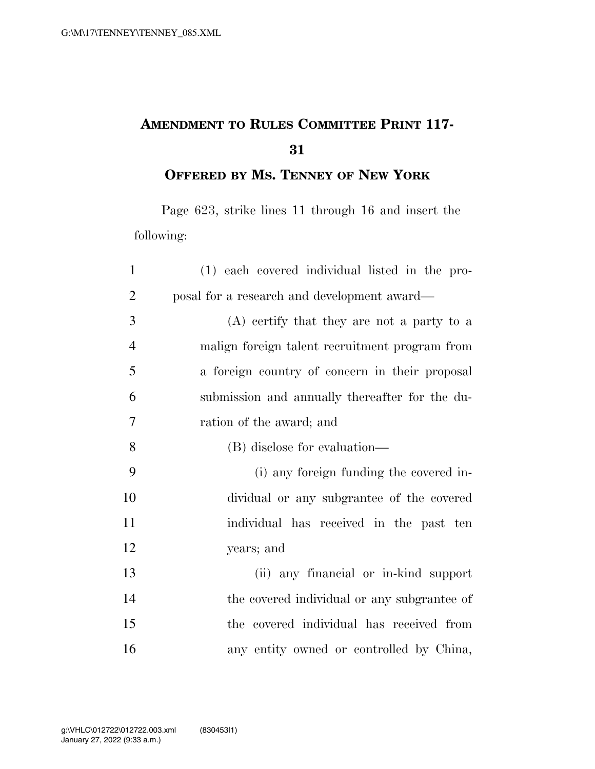## **AMENDMENT TO RULES COMMITTEE PRINT 117-**

**OFFERED BY MS. TENNEY OF NEW YORK**

Page 623, strike lines 11 through 16 and insert the following:

| $\mathbf{1}$   | (1) each covered individual listed in the pro- |
|----------------|------------------------------------------------|
| $\overline{2}$ | posal for a research and development award—    |
| 3              | (A) certify that they are not a party to a     |
| $\overline{4}$ | malign foreign talent recruitment program from |
| 5              | a foreign country of concern in their proposal |
| 6              | submission and annually thereafter for the du- |
| $\overline{7}$ | ration of the award; and                       |
| 8              | (B) disclose for evaluation—                   |
| 9              | (i) any foreign funding the covered in-        |
| 10             | dividual or any subgrantee of the covered      |
| 11             | individual has received in the past ten        |
| 12             | years; and                                     |
| 13             | (ii) any financial or in-kind support          |
| 14             | the covered individual or any subgrantee of    |
| 15             | the covered individual has received from       |
| 16             | any entity owned or controlled by China,       |